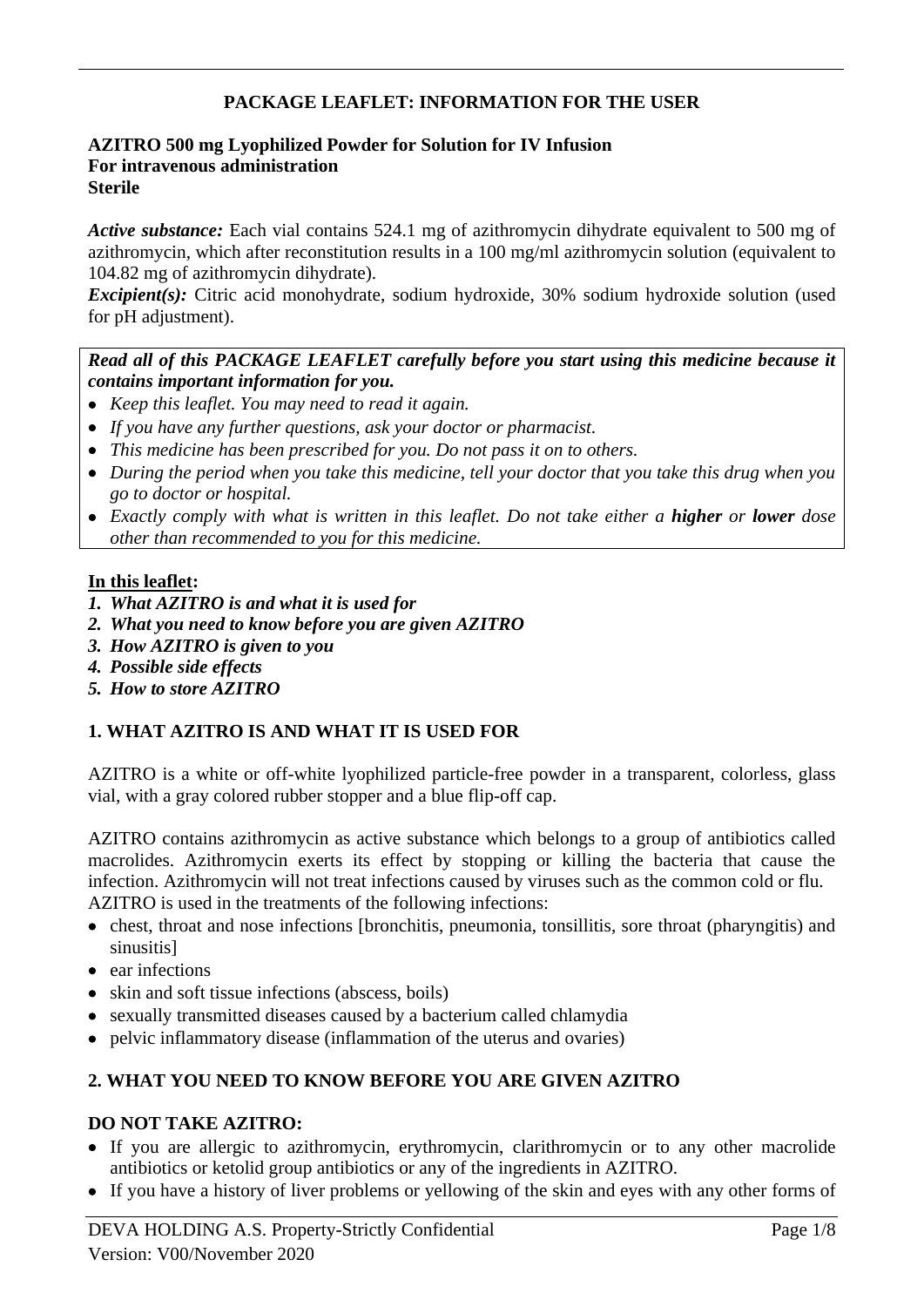# **PACKAGE LEAFLET: INFORMATION FOR THE USER**

#### **AZITRO 500 mg Lyophilized Powder for Solution for IV Infusion For intravenous administration Sterile**

*Active substance:* Each vial contains 524.1 mg of azithromycin dihydrate equivalent to 500 mg of azithromycin, which after reconstitution results in a 100 mg/ml azithromycin solution (equivalent to 104.82 mg of azithromycin dihydrate).

*Excipient(s):* Citric acid monohydrate, sodium hydroxide, 30% sodium hydroxide solution (used for pH adjustment).

## *Read all of this PACKAGE LEAFLET carefully before you start using this medicine because it contains important information for you.*

- *Keep this leaflet. You may need to read it again.*
- *If you have any further questions, ask your doctor or pharmacist.*
- *This medicine has been prescribed for you. Do not pass it on to others.*
- *During the period when you take this medicine, tell your doctor that you take this drug when you go to doctor or hospital.*
- *Exactly comply with what is written in this leaflet. Do not take either a higher or lower dose other than recommended to you for this medicine.*

## **In this leaflet:**

- *1. What AZITRO is and what it is used for*
- *2. What you need to know before you are given AZITRO*
- *3. How AZITRO is given to you*
- *4. Possible side effects*
- *5. How to store AZITRO*

# **1. WHAT AZITRO IS AND WHAT IT IS USED FOR**

AZITRO is a white or off-white lyophilized particle-free powder in a transparent, colorless, glass vial, with a gray colored rubber stopper and a blue flip-off cap.

AZITRO contains azithromycin as active substance which belongs to a group of antibiotics called macrolides. Azithromycin exerts its effect by stopping or killing the bacteria that cause the infection. Azithromycin will not treat infections caused by viruses such as the common cold or flu. AZITRO is used in the treatments of the following infections:

- chest, throat and nose infections [bronchitis, pneumonia, tonsillitis, sore throat (pharyngitis) and sinusitis]
- ear infections
- skin and soft tissue infections (abscess, boils)
- sexually transmitted diseases caused by a bacterium called chlamydia
- pelvic inflammatory disease (inflammation of the uterus and ovaries)

# **2. WHAT YOU NEED TO KNOW BEFORE YOU ARE GIVEN AZITRO**

## **DO NOT TAKE AZITRO:**

- If you are allergic to azithromycin, erythromycin, clarithromycin or to any other macrolide antibiotics or ketolid group antibiotics or any of the ingredients in AZITRO.
- If you have a history of liver problems or yellowing of the skin and eyes with any other forms of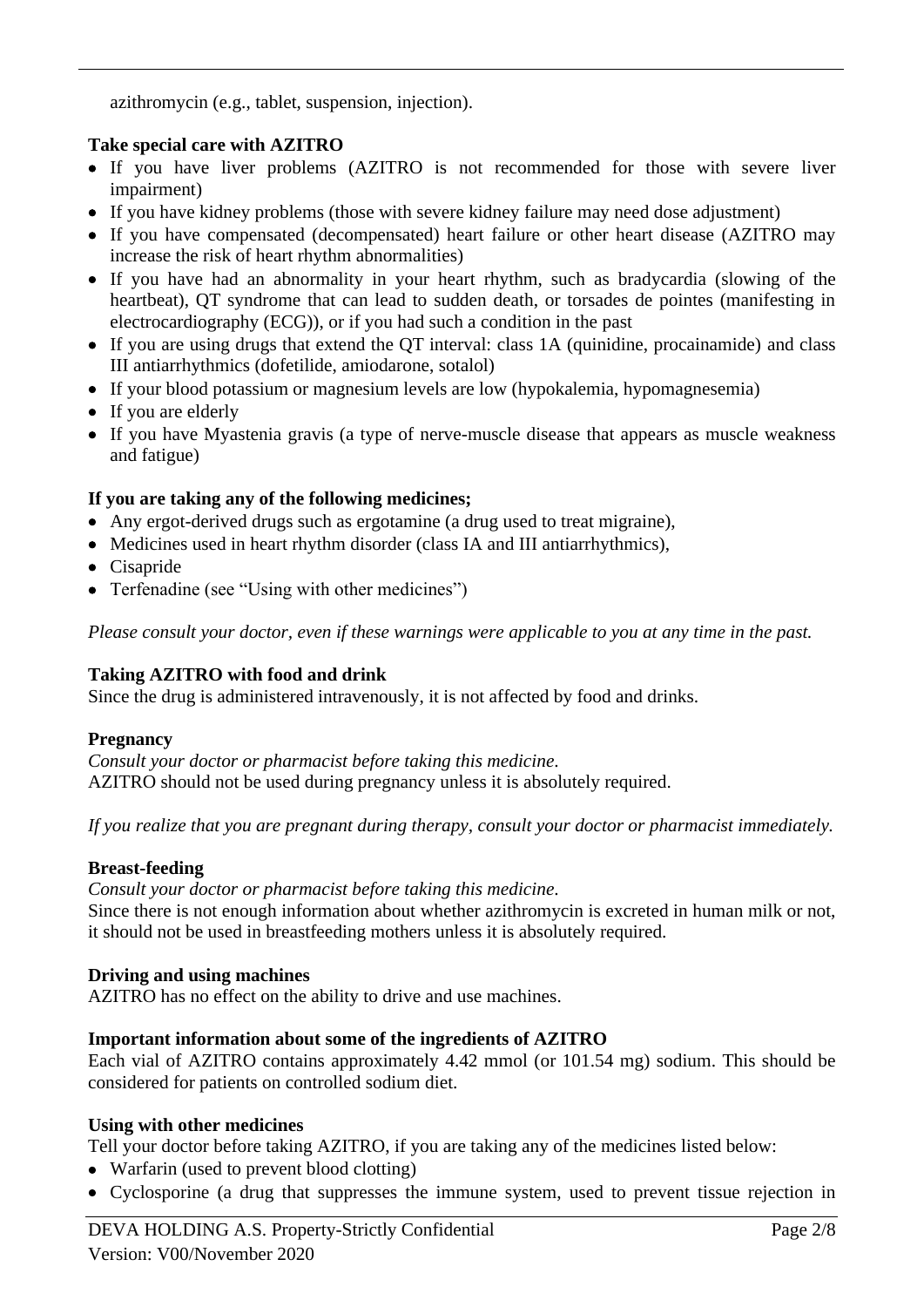azithromycin (e.g., tablet, suspension, injection).

## **Take special care with AZITRO**

- If you have liver problems (AZITRO is not recommended for those with severe liver impairment)
- If you have kidney problems (those with severe kidney failure may need dose adjustment)
- If you have compensated (decompensated) heart failure or other heart disease (AZITRO may increase the risk of heart rhythm abnormalities)
- If you have had an abnormality in your heart rhythm, such as bradycardia (slowing of the heartbeat), OT syndrome that can lead to sudden death, or torsades de pointes (manifesting in electrocardiography (ECG)), or if you had such a condition in the past
- If you are using drugs that extend the QT interval: class 1A (quinidine, procainamide) and class III antiarrhythmics (dofetilide, amiodarone, sotalol)
- If your blood potassium or magnesium levels are low (hypokalemia, hypomagnesemia)
- If you are elderly
- If you have Myastenia gravis (a type of nerve-muscle disease that appears as muscle weakness and fatigue)

# **If you are taking any of the following medicines;**

- Any ergot-derived drugs such as ergotamine (a drug used to treat migraine),
- Medicines used in heart rhythm disorder (class IA and III antiarrhythmics),
- Cisapride
- Terfenadine (see "Using with other medicines")

*Please consult your doctor, even if these warnings were applicable to you at any time in the past.*

# **Taking AZITRO with food and drink**

Since the drug is administered intravenously, it is not affected by food and drinks.

## **Pregnancy**

*Consult your doctor or pharmacist before taking this medicine.* AZITRO should not be used during pregnancy unless it is absolutely required.

*If you realize that you are pregnant during therapy, consult your doctor or pharmacist immediately.*

## **Breast-feeding**

*Consult your doctor or pharmacist before taking this medicine.*

Since there is not enough information about whether azithromycin is excreted in human milk or not, it should not be used in breastfeeding mothers unless it is absolutely required.

## **Driving and using machines**

AZITRO has no effect on the ability to drive and use machines.

## **Important information about some of the ingredients of AZITRO**

Each vial of AZITRO contains approximately 4.42 mmol (or 101.54 mg) sodium. This should be considered for patients on controlled sodium diet.

## **Using with other medicines**

Tell your doctor before taking AZITRO, if you are taking any of the medicines listed below:

- Warfarin (used to prevent blood clotting)
- Cyclosporine (a drug that suppresses the immune system, used to prevent tissue rejection in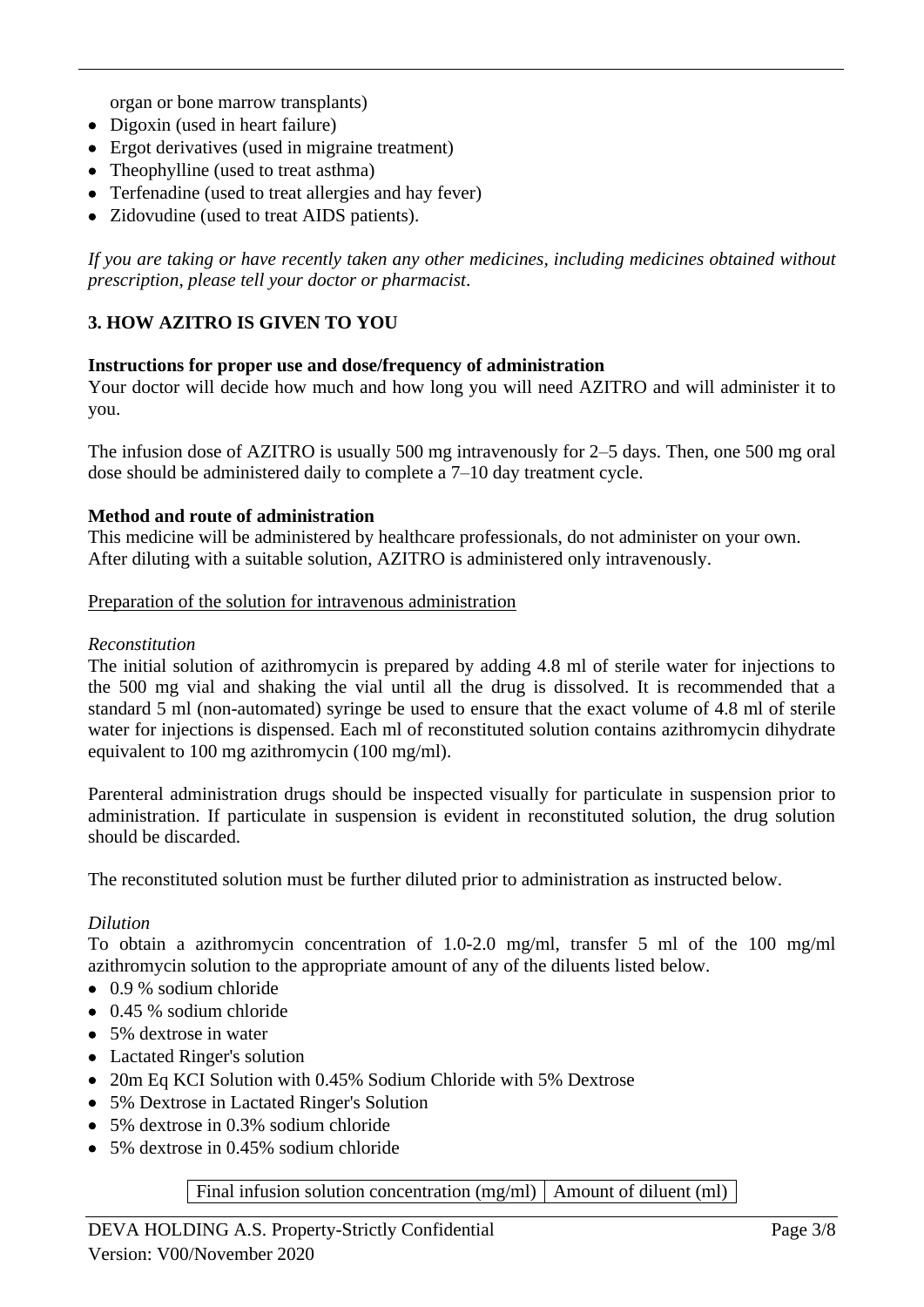organ or bone marrow transplants)

- Digoxin (used in heart failure)
- Ergot derivatives (used in migraine treatment)
- Theophylline (used to treat asthma)
- Terfenadine (used to treat allergies and hay fever)
- Zidovudine (used to treat AIDS patients).

*If you are taking or have recently taken any other medicines, including medicines obtained without prescription, please tell your doctor or pharmacist*.

## **3. HOW AZITRO IS GIVEN TO YOU**

#### **Instructions for proper use and dose/frequency of administration**

Your doctor will decide how much and how long you will need AZITRO and will administer it to you.

The infusion dose of AZITRO is usually 500 mg intravenously for 2–5 days. Then, one 500 mg oral dose should be administered daily to complete a 7–10 day treatment cycle.

#### **Method and route of administration**

This medicine will be administered by healthcare professionals, do not administer on your own. After diluting with a suitable solution, AZITRO is administered only intravenously.

#### Preparation of the solution for intravenous administration

#### *Reconstitution*

The initial solution of azithromycin is prepared by adding 4.8 ml of sterile water for injections to the 500 mg vial and shaking the vial until all the drug is dissolved. It is recommended that a standard 5 ml (non-automated) syringe be used to ensure that the exact volume of 4.8 ml of sterile water for injections is dispensed. Each ml of reconstituted solution contains azithromycin dihydrate equivalent to 100 mg azithromycin (100 mg/ml).

Parenteral administration drugs should be inspected visually for particulate in suspension prior to administration. If particulate in suspension is evident in reconstituted solution, the drug solution should be discarded.

The reconstituted solution must be further diluted prior to administration as instructed below.

## *Dilution*

To obtain a azithromycin concentration of 1.0-2.0 mg/ml, transfer 5 ml of the 100 mg/ml azithromycin solution to the appropriate amount of any of the diluents listed below.

- 0.9 % sodium chloride
- 0.45 % sodium chloride
- 5% dextrose in water
- Lactated Ringer's solution
- 20m Eq KCI Solution with 0.45% Sodium Chloride with 5% Dextrose
- 5% Dextrose in Lactated Ringer's Solution
- 5% dextrose in 0.3% sodium chloride
- 5% dextrose in 0.45% sodium chloride

#### Final infusion solution concentration (mg/ml)  $\vert$  Amount of diluent (ml)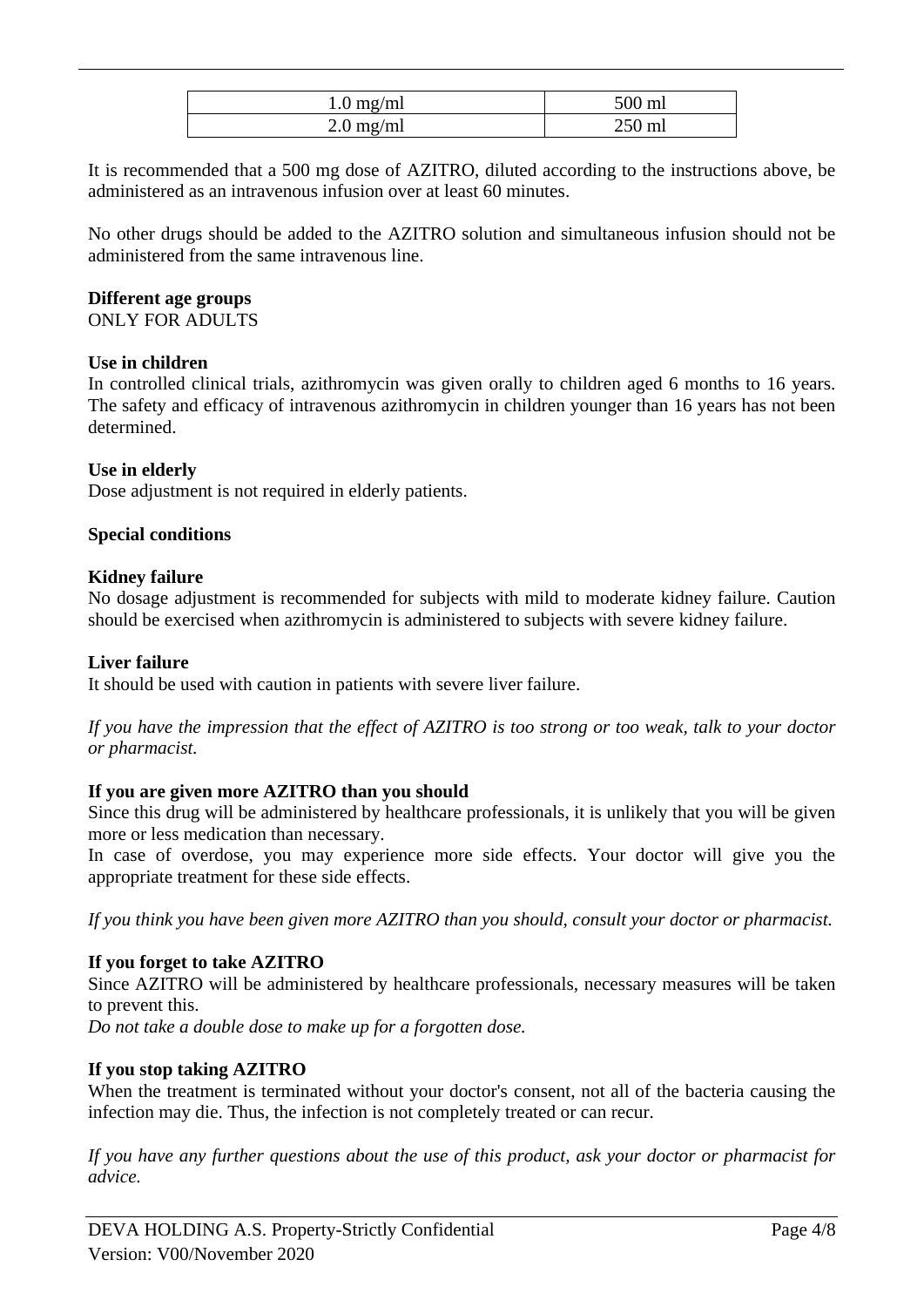| $1.0 \text{ mg/ml}$ | 500 ml |
|---------------------|--------|
| $2.0 \text{ mg/ml}$ | 250 ml |

It is recommended that a 500 mg dose of AZITRO, diluted according to the instructions above, be administered as an intravenous infusion over at least 60 minutes.

No other drugs should be added to the AZITRO solution and simultaneous infusion should not be administered from the same intravenous line.

# **Different age groups**

ONLY FOR ADULTS

## **Use in children**

In controlled clinical trials, azithromycin was given orally to children aged 6 months to 16 years. The safety and efficacy of intravenous azithromycin in children younger than 16 years has not been determined.

## **Use in elderly**

Dose adjustment is not required in elderly patients.

## **Special conditions**

## **Kidney failure**

No dosage adjustment is recommended for subjects with mild to moderate kidney failure. Caution should be exercised when azithromycin is administered to subjects with severe kidney failure.

#### **Liver failure**

It should be used with caution in patients with severe liver failure.

*If you have the impression that the effect of AZITRO is too strong or too weak, talk to your doctor or pharmacist.*

## **If you are given more AZITRO than you should**

Since this drug will be administered by healthcare professionals, it is unlikely that you will be given more or less medication than necessary.

In case of overdose, you may experience more side effects. Your doctor will give you the appropriate treatment for these side effects.

*If you think you have been given more AZITRO than you should, consult your doctor or pharmacist.*

## **If you forget to take AZITRO**

Since AZITRO will be administered by healthcare professionals, necessary measures will be taken to prevent this.

*Do not take a double dose to make up for a forgotten dose.* 

## **If you stop taking AZITRO**

When the treatment is terminated without your doctor's consent, not all of the bacteria causing the infection may die. Thus, the infection is not completely treated or can recur.

*If you have any further questions about the use of this product, ask your doctor or pharmacist for advice.*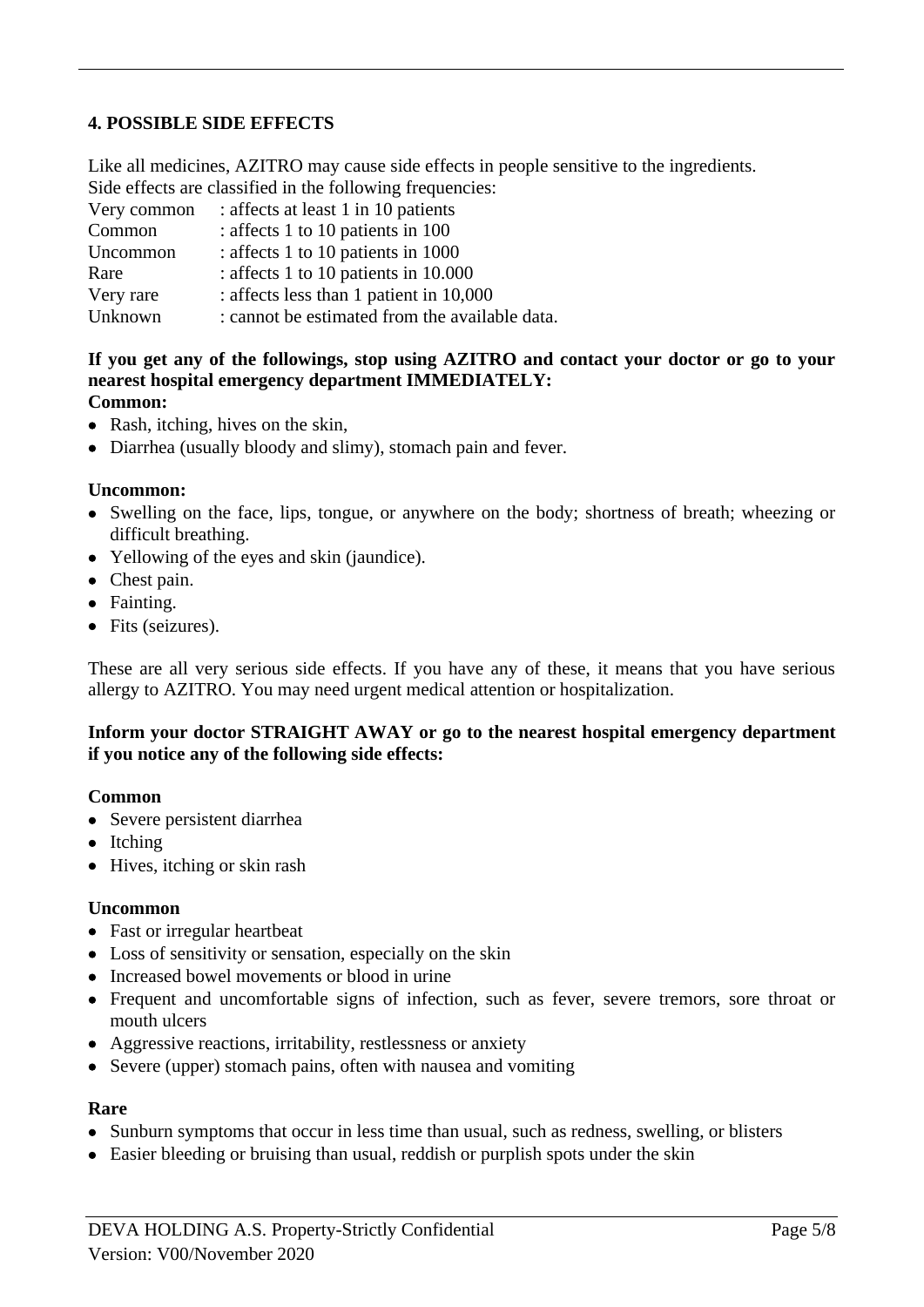# **4. POSSIBLE SIDE EFFECTS**

Like all medicines, AZITRO may cause side effects in people sensitive to the ingredients. Side effects are classified in the following frequencies:

| Very common | : affects at least 1 in 10 patients            |
|-------------|------------------------------------------------|
| Common      | : affects 1 to 10 patients in 100              |
| Uncommon    | : affects 1 to 10 patients in 1000             |
| Rare        | : affects 1 to 10 patients in 10.000           |
| Very rare   | : affects less than 1 patient in 10,000        |
| Unknown     | : cannot be estimated from the available data. |

# **If you get any of the followings, stop using AZITRO and contact your doctor or go to your nearest hospital emergency department IMMEDIATELY:**

## **Common:**

- Rash, itching, hives on the skin,
- Diarrhea (usually bloody and slimy), stomach pain and fever.

#### **Uncommon:**

- Swelling on the face, lips, tongue, or anywhere on the body; shortness of breath; wheezing or difficult breathing.
- Yellowing of the eyes and skin (jaundice).
- Chest pain.
- Fainting.
- Fits (seizures).

These are all very serious side effects. If you have any of these, it means that you have serious allergy to AZITRO. You may need urgent medical attention or hospitalization.

#### **Inform your doctor STRAIGHT AWAY or go to the nearest hospital emergency department if you notice any of the following side effects:**

#### **Common**

- Severe persistent diarrhea
- Itching
- Hives, itching or skin rash

#### **Uncommon**

- Fast or irregular heartbeat
- Loss of sensitivity or sensation, especially on the skin
- Increased bowel movements or blood in urine
- Frequent and uncomfortable signs of infection, such as fever, severe tremors, sore throat or mouth ulcers
- Aggressive reactions, irritability, restlessness or anxiety
- Severe (upper) stomach pains, often with nausea and vomiting

#### **Rare**

- Sunburn symptoms that occur in less time than usual, such as redness, swelling, or blisters
- Easier bleeding or bruising than usual, reddish or purplish spots under the skin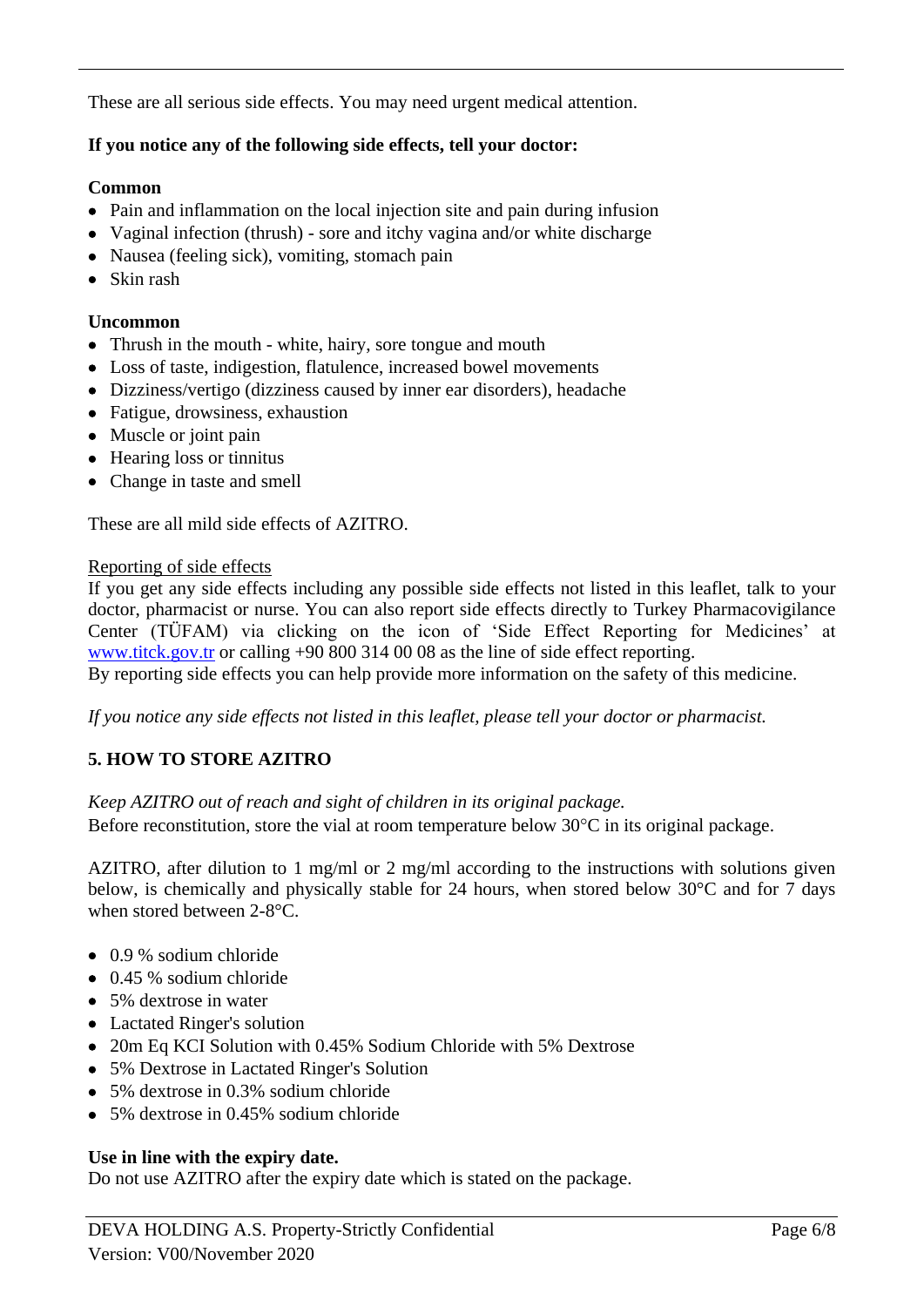These are all serious side effects. You may need urgent medical attention.

# **If you notice any of the following side effects, tell your doctor:**

## **Common**

- Pain and inflammation on the local injection site and pain during infusion
- Vaginal infection (thrush) sore and itchy vagina and/or white discharge
- Nausea (feeling sick), vomiting, stomach pain
- Skin rash

# **Uncommon**

- Thrush in the mouth white, hairy, sore tongue and mouth
- Loss of taste, indigestion, flatulence, increased bowel movements
- Dizziness/vertigo (dizziness caused by inner ear disorders), headache
- Fatigue, drowsiness, exhaustion
- Muscle or joint pain
- Hearing loss or tinnitus
- Change in taste and smell

These are all mild side effects of AZITRO.

## Reporting of side effects

If you get any side effects including any possible side effects not listed in this leaflet, talk to your doctor, pharmacist or nurse. You can also report side effects directly to Turkey Pharmacovigilance Center (TÜFAM) via clicking on the icon of 'Side Effect Reporting for Medicines' at [www.titck.gov.tr](http://www.titck.gov.tr/) or calling +90 800 314 00 08 as the line of side effect reporting.

By reporting side effects you can help provide more information on the safety of this medicine.

*If you notice any side effects not listed in this leaflet, please tell your doctor or pharmacist.*

# **5. HOW TO STORE AZITRO**

*Keep AZITRO out of reach and sight of children in its original package.*

Before reconstitution, store the vial at room temperature below  $30^{\circ}$ C in its original package.

AZITRO, after dilution to 1 mg/ml or 2 mg/ml according to the instructions with solutions given below, is chemically and physically stable for 24 hours, when stored below 30°C and for 7 days when stored between 2-8°C.

- 0.9 % sodium chloride
- 0.45 % sodium chloride
- 5% dextrose in water
- Lactated Ringer's solution
- 20m Eq KCI Solution with 0.45% Sodium Chloride with 5% Dextrose
- 5% Dextrose in Lactated Ringer's Solution
- 5% dextrose in 0.3% sodium chloride
- 5% dextrose in 0.45% sodium chloride

# **Use in line with the expiry date.**

Do not use AZITRO after the expiry date which is stated on the package.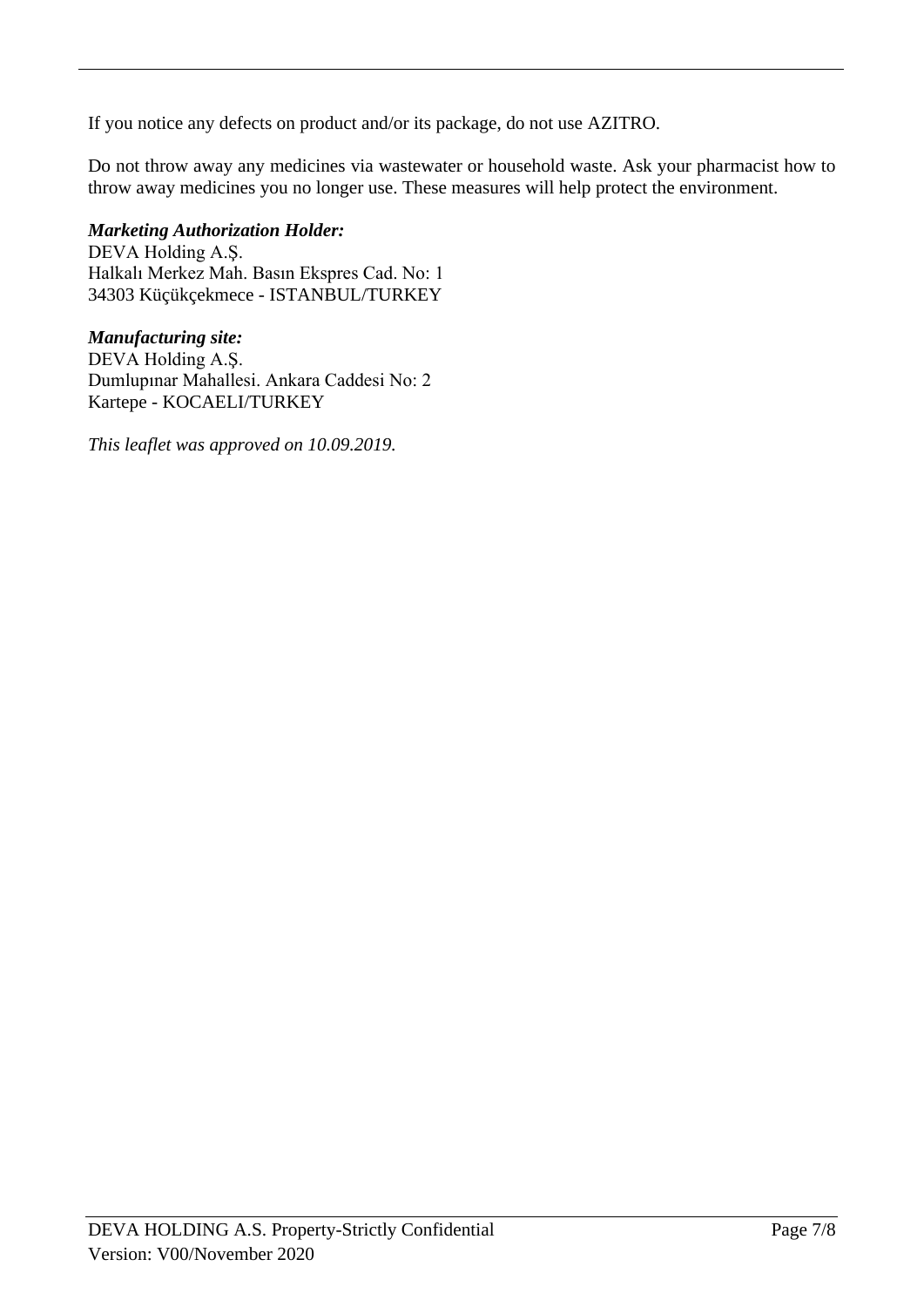If you notice any defects on product and/or its package, do not use AZITRO.

Do not throw away any medicines via wastewater or household waste. Ask your pharmacist how to throw away medicines you no longer use. These measures will help protect the environment.

# *Marketing Authorization Holder:*

DEVA Holding A.Ş. Halkalı Merkez Mah. Basın Ekspres Cad. No: 1 34303 Küçükçekmece - ISTANBUL/TURKEY

# *Manufacturing site:*

DEVA Holding A.Ş. Dumlupınar Mahallesi. Ankara Caddesi No: 2 Kartepe - KOCAELI/TURKEY

*This leaflet was approved on 10.09.2019.*